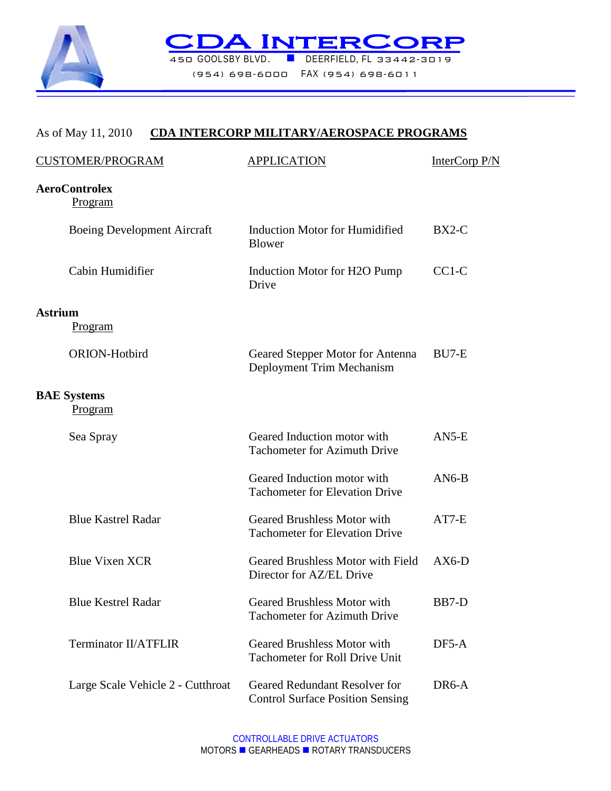

**CDAINTERCORP** (954) 698-6000 FAX (954) 698-6011

## As of May 11, 2010 **CDA INTERCORP MILITARY/AEROSPACE PROGRAMS**

| CUSTOMER/PROGRAM                   | <b>APPLICATION</b>                                                          | InterCorp P/N |
|------------------------------------|-----------------------------------------------------------------------------|---------------|
| <b>AeroControlex</b><br>Program    |                                                                             |               |
| <b>Boeing Development Aircraft</b> | <b>Induction Motor for Humidified</b><br><b>Blower</b>                      | $BX2-C$       |
| Cabin Humidifier                   | Induction Motor for H2O Pump<br>Drive                                       | $CC1-C$       |
| <b>Astrium</b>                     |                                                                             |               |
| <u>Program</u>                     |                                                                             |               |
| <b>ORION-Hotbird</b>               | Geared Stepper Motor for Antenna<br>Deployment Trim Mechanism               | BU7-E         |
| <b>BAE</b> Systems<br>Program      |                                                                             |               |
| Sea Spray                          | Geared Induction motor with<br><b>Tachometer for Azimuth Drive</b>          | $AN5-E$       |
|                                    | Geared Induction motor with<br><b>Tachometer for Elevation Drive</b>        | $AN6-B$       |
| <b>Blue Kastrel Radar</b>          | <b>Geared Brushless Motor with</b><br><b>Tachometer for Elevation Drive</b> | $AT7-E$       |
| <b>Blue Vixen XCR</b>              | Geared Brushless Motor with Field<br>Director for AZ/EL Drive               | $AX6-D$       |
| <b>Blue Kestrel Radar</b>          | Geared Brushless Motor with<br><b>Tachometer for Azimuth Drive</b>          | BB7-D         |
| <b>Terminator II/ATFLIR</b>        | <b>Geared Brushless Motor with</b><br><b>Tachometer for Roll Drive Unit</b> | DF5-A         |
| Large Scale Vehicle 2 - Cutthroat  | Geared Redundant Resolver for<br><b>Control Surface Position Sensing</b>    | DR6-A         |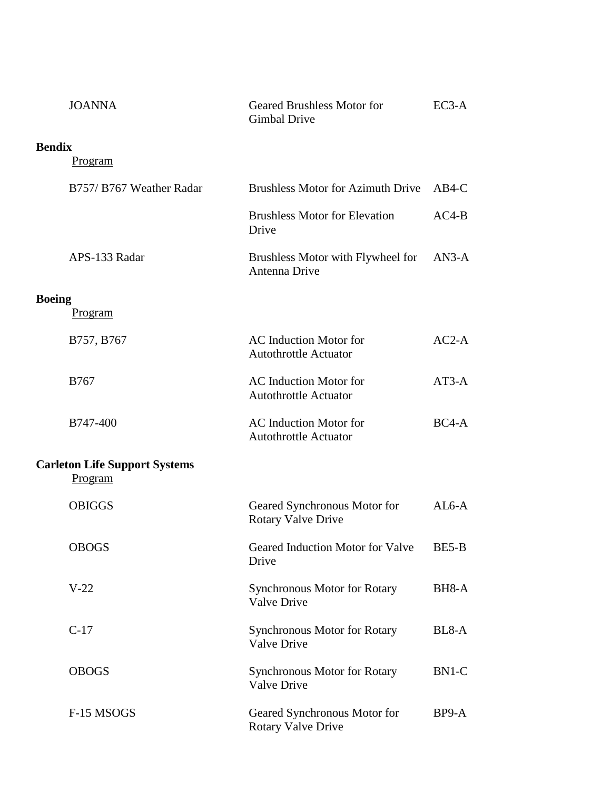|               | <b>JOANNA</b>                                   | <b>Geared Brushless Motor for</b><br>Gimbal Drive             | $EC3-A$ |
|---------------|-------------------------------------------------|---------------------------------------------------------------|---------|
| <b>Bendix</b> | <u>Program</u>                                  |                                                               |         |
|               | B757/ B767 Weather Radar                        | <b>Brushless Motor for Azimuth Drive</b>                      | $AB4-C$ |
|               |                                                 | <b>Brushless Motor for Elevation</b><br>Drive                 | $AC4-B$ |
|               | APS-133 Radar                                   | Brushless Motor with Flywheel for<br>Antenna Drive            | $AN3-A$ |
| <b>Boeing</b> | <u>Program</u>                                  |                                                               |         |
|               | B757, B767                                      | <b>AC</b> Induction Motor for<br><b>Autothrottle Actuator</b> | $AC2-A$ |
|               | <b>B767</b>                                     | <b>AC</b> Induction Motor for<br><b>Autothrottle Actuator</b> | $AT3-A$ |
|               | B747-400                                        | <b>AC</b> Induction Motor for<br><b>Autothrottle Actuator</b> | $BC4-A$ |
|               | <b>Carleton Life Support Systems</b><br>Program |                                                               |         |
|               | <b>OBIGGS</b>                                   | Geared Synchronous Motor for<br><b>Rotary Valve Drive</b>     | $AL6-A$ |
|               | <b>OBOGS</b>                                    | Geared Induction Motor for Valve<br>Drive                     | BE5-B   |
|               | $V-22$                                          | <b>Synchronous Motor for Rotary</b><br><b>Valve Drive</b>     | BH8-A   |
|               | $C-17$                                          | <b>Synchronous Motor for Rotary</b><br><b>Valve Drive</b>     | BL8-A   |
|               | <b>OBOGS</b>                                    | <b>Synchronous Motor for Rotary</b><br>Valve Drive            | BN1-C   |
|               | F-15 MSOGS                                      | Geared Synchronous Motor for<br><b>Rotary Valve Drive</b>     | BP9-A   |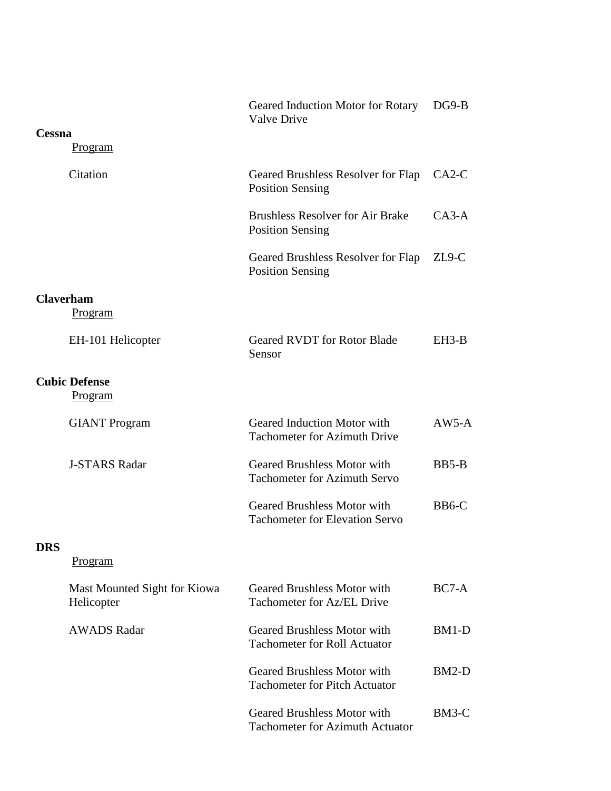|            |                                            | Geared Induction Motor for Rotary<br><b>Valve Drive</b>                      | $DG9-B$ |
|------------|--------------------------------------------|------------------------------------------------------------------------------|---------|
| Cessna     |                                            |                                                                              |         |
|            | <u>Program</u>                             |                                                                              |         |
|            | Citation                                   | Geared Brushless Resolver for Flap<br><b>Position Sensing</b>                | $CA2-C$ |
|            |                                            | <b>Brushless Resolver for Air Brake</b><br><b>Position Sensing</b>           | $CA3-A$ |
|            |                                            | Geared Brushless Resolver for Flap<br><b>Position Sensing</b>                | $ZL9-C$ |
|            | <b>Claverham</b><br><b>Program</b>         |                                                                              |         |
|            | EH-101 Helicopter                          | <b>Geared RVDT</b> for Rotor Blade<br>Sensor                                 | $EH3-B$ |
|            | <b>Cubic Defense</b><br>Program            |                                                                              |         |
|            | <b>GIANT</b> Program                       | Geared Induction Motor with<br><b>Tachometer for Azimuth Drive</b>           | $AW5-A$ |
|            | <b>J-STARS Radar</b>                       | <b>Geared Brushless Motor with</b><br><b>Tachometer for Azimuth Servo</b>    | $BB5-B$ |
|            |                                            | <b>Geared Brushless Motor with</b><br><b>Tachometer for Elevation Servo</b>  | $BB6-C$ |
| <b>DRS</b> |                                            |                                                                              |         |
|            | Program                                    |                                                                              |         |
|            | Mast Mounted Sight for Kiowa<br>Helicopter | <b>Geared Brushless Motor with</b><br>Tachometer for Az/EL Drive             | BC7-A   |
|            | <b>AWADS Radar</b>                         | <b>Geared Brushless Motor with</b><br><b>Tachometer for Roll Actuator</b>    | BM1-D   |
|            |                                            | <b>Geared Brushless Motor with</b><br><b>Tachometer for Pitch Actuator</b>   | $BM2-D$ |
|            |                                            | <b>Geared Brushless Motor with</b><br><b>Tachometer for Azimuth Actuator</b> | BM3-C   |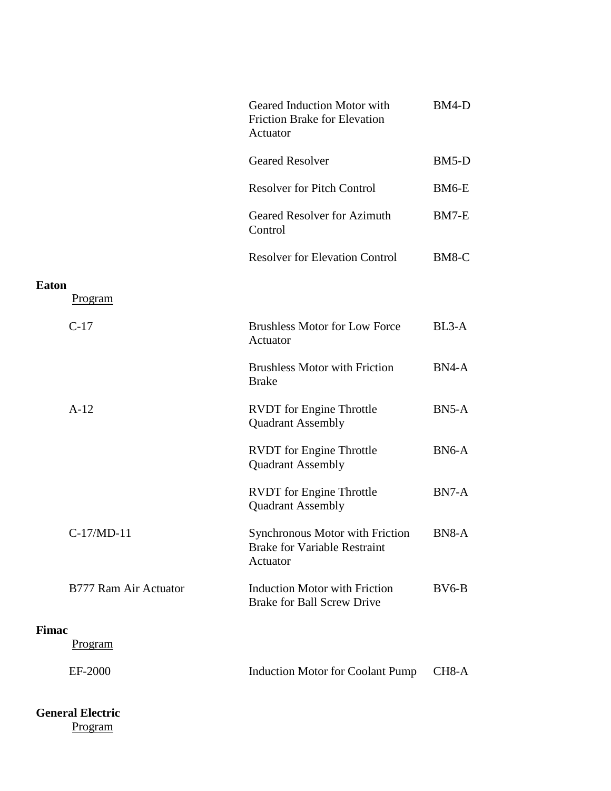|              |                       | Geared Induction Motor with<br><b>Friction Brake for Elevation</b><br>Actuator            | $BM4-D$            |
|--------------|-----------------------|-------------------------------------------------------------------------------------------|--------------------|
|              |                       | <b>Geared Resolver</b>                                                                    | $BM5-D$            |
|              |                       | <b>Resolver for Pitch Control</b>                                                         | BM6-E              |
|              |                       | <b>Geared Resolver for Azimuth</b><br>Control                                             | BM7-E              |
|              |                       | <b>Resolver for Elevation Control</b>                                                     | BM8-C              |
| Eaton        | Program               |                                                                                           |                    |
|              | $C-17$                | <b>Brushless Motor for Low Force</b><br>Actuator                                          | $BL3-A$            |
|              |                       | <b>Brushless Motor with Friction</b><br><b>Brake</b>                                      | $BN4-A$            |
|              | $A-12$                | <b>RVDT</b> for Engine Throttle<br><b>Quadrant Assembly</b>                               | $BN5-A$            |
|              |                       | <b>RVDT</b> for Engine Throttle<br><b>Quadrant Assembly</b>                               | $BN6-A$            |
|              |                       | <b>RVDT</b> for Engine Throttle<br><b>Quadrant Assembly</b>                               | $BN7-A$            |
|              | C-17/MD-11            | <b>Synchronous Motor with Friction</b><br><b>Brake for Variable Restraint</b><br>Actuator | BN8-A              |
|              | B777 Ram Air Actuator | <b>Induction Motor with Friction</b><br><b>Brake for Ball Screw Drive</b>                 | $BV6-B$            |
| <b>Fimac</b> |                       |                                                                                           |                    |
|              | Program               |                                                                                           |                    |
|              | EF-2000               | <b>Induction Motor for Coolant Pump</b>                                                   | CH <sub>8</sub> -A |
|              |                       |                                                                                           |                    |

# **General Electric** Program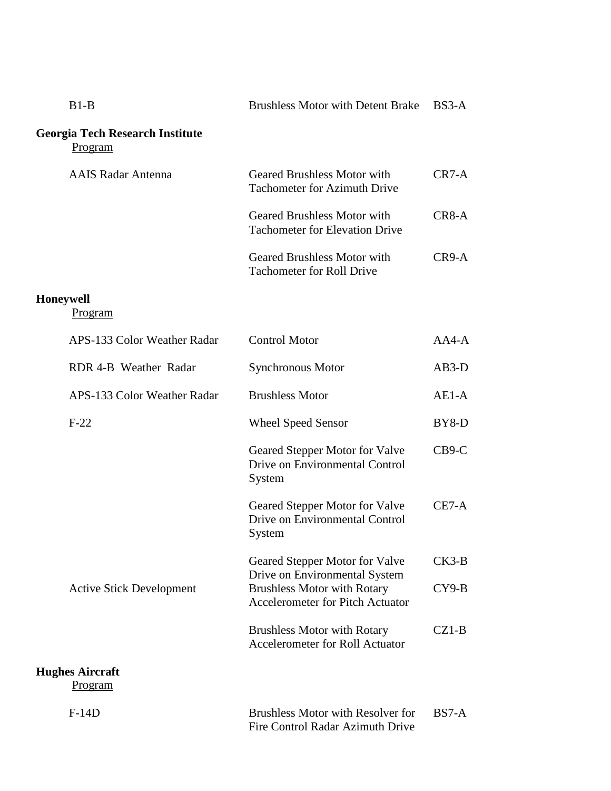| $B1-B$ | Brushless Motor with Detent Brake BS3-A |  |
|--------|-----------------------------------------|--|
|        |                                         |  |

## **Georgia Tech Research Institute** Program

| <b>AAIS Radar Antenna</b> | Geared Brushless Motor with<br><b>Tachometer for Azimuth Drive</b>   | $CR7-A$ |
|---------------------------|----------------------------------------------------------------------|---------|
|                           | Geared Brushless Motor with<br><b>Tachometer for Elevation Drive</b> | $CR8-A$ |
|                           | Geared Brushless Motor with<br><b>Tachometer for Roll Drive</b>      | $CR9-A$ |

#### **Honeywell**

Program

| APS-133 Color Weather Radar              | <b>Control Motor</b>                                                                                                                             | AA4-A              |
|------------------------------------------|--------------------------------------------------------------------------------------------------------------------------------------------------|--------------------|
| RDR 4-B Weather Radar                    | Synchronous Motor                                                                                                                                | $AB3-D$            |
| APS-133 Color Weather Radar              | <b>Brushless Motor</b>                                                                                                                           | $AE1-A$            |
| $F-22$                                   | <b>Wheel Speed Sensor</b>                                                                                                                        | BY8-D              |
|                                          | Geared Stepper Motor for Valve<br>Drive on Environmental Control<br>System                                                                       | $CB9-C$            |
|                                          | Geared Stepper Motor for Valve<br>Drive on Environmental Control<br>System                                                                       | $CE7-A$            |
| <b>Active Stick Development</b>          | Geared Stepper Motor for Valve<br>Drive on Environmental System<br><b>Brushless Motor with Rotary</b><br><b>Accelerometer for Pitch Actuator</b> | $CK3-B$<br>$CY9-B$ |
|                                          | <b>Brushless Motor with Rotary</b><br><b>Accelerometer for Roll Actuator</b>                                                                     | $CZ1-B$            |
| <b>Hughes Aircraft</b><br><u>Program</u> |                                                                                                                                                  |                    |
| $F-14D$                                  | <b>Brushless Motor with Resolver for</b>                                                                                                         | $BS7-A$            |

Fire Control Radar Azimuth Drive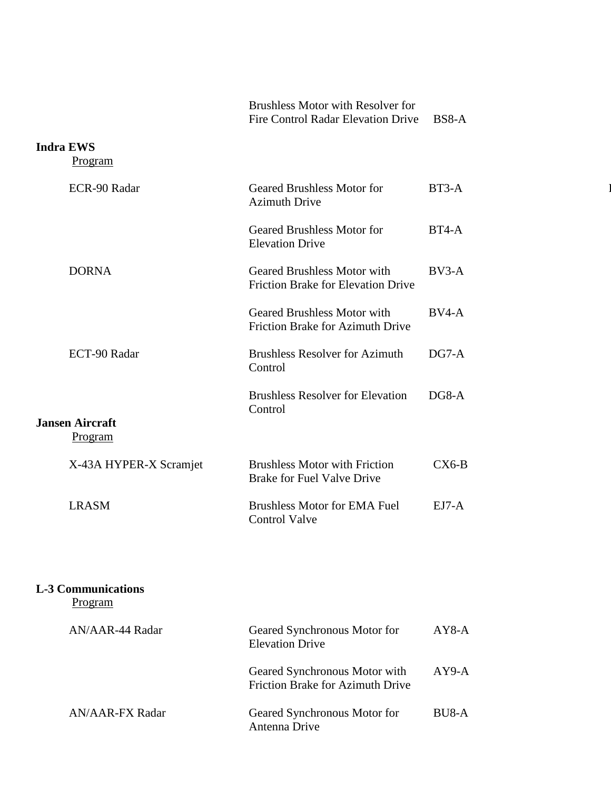|                                          | <b>Brushless Motor with Resolver for</b><br>Fire Control Radar Elevation Drive  | $BS8-A$                     |
|------------------------------------------|---------------------------------------------------------------------------------|-----------------------------|
| <b>Indra EWS</b><br>Program              |                                                                                 |                             |
| ECR-90 Radar                             | <b>Geared Brushless Motor for</b><br><b>Azimuth Drive</b>                       | BT3-A                       |
|                                          | <b>Geared Brushless Motor for</b><br><b>Elevation Drive</b>                     | $BT4-A$                     |
| <b>DORNA</b>                             | <b>Geared Brushless Motor with</b><br><b>Friction Brake for Elevation Drive</b> | $BV3-A$                     |
|                                          | <b>Geared Brushless Motor with</b><br>Friction Brake for Azimuth Drive          | $BV4-A$                     |
| ECT-90 Radar                             | <b>Brushless Resolver for Azimuth</b><br>Control                                | $DG7-A$                     |
|                                          | <b>Brushless Resolver for Elevation</b><br>Control                              | DG8-A                       |
| <b>Jansen Aircraft</b><br><u>Program</u> |                                                                                 |                             |
| X-43A HYPER-X Scramjet                   | <b>Brushless Motor with Friction</b><br>Brake for Fuel Valve Drive              | $\mathbf{C} \mathbf{X}$ 6-B |
| <b>LRASM</b>                             | <b>Brushless Motor for EMA Fuel</b><br><b>Control Valve</b>                     | $EJ7-A$                     |
|                                          |                                                                                 |                             |
| <b>L-3 Communications</b><br>Program     |                                                                                 |                             |
| AN/AAR-44 Radar                          | Geared Synchronous Motor for<br><b>Elevation Drive</b>                          | $AY8-A$                     |
|                                          | Geared Synchronous Motor with<br><b>Friction Brake for Azimuth Drive</b>        | $AY9-A$                     |
| <b>AN/AAR-FX Radar</b>                   | Geared Synchronous Motor for<br>Antenna Drive                                   | $BU8-A$                     |

 $\mathbf{l}$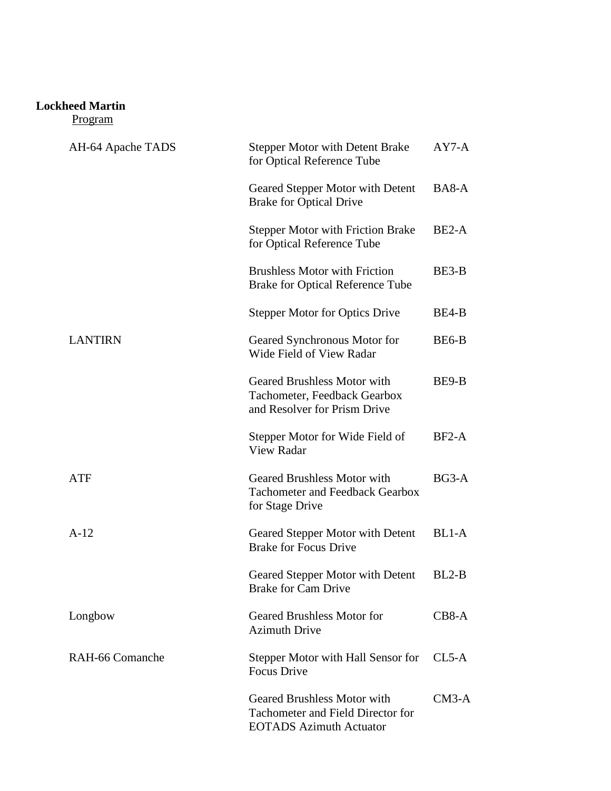### **Lockheed Martin**

Program

| AH-64 Apache TADS | <b>Stepper Motor with Detent Brake</b><br>for Optical Reference Tube                                      | $AY7-A$            |
|-------------------|-----------------------------------------------------------------------------------------------------------|--------------------|
|                   | Geared Stepper Motor with Detent<br><b>Brake for Optical Drive</b>                                        | BA8-A              |
|                   | <b>Stepper Motor with Friction Brake</b><br>for Optical Reference Tube                                    | BE <sub>2</sub> -A |
|                   | <b>Brushless Motor with Friction</b><br><b>Brake for Optical Reference Tube</b>                           | BE3-B              |
|                   | <b>Stepper Motor for Optics Drive</b>                                                                     | BE4-B              |
| <b>LANTIRN</b>    | Geared Synchronous Motor for<br>Wide Field of View Radar                                                  | BE6-B              |
|                   | <b>Geared Brushless Motor with</b><br>Tachometer, Feedback Gearbox<br>and Resolver for Prism Drive        | BE9-B              |
|                   | Stepper Motor for Wide Field of<br><b>View Radar</b>                                                      | $BF2-A$            |
| ATF               | <b>Geared Brushless Motor with</b><br><b>Tachometer and Feedback Gearbox</b><br>for Stage Drive           | $BG3-A$            |
| $A-12$            | Geared Stepper Motor with Detent<br><b>Brake for Focus Drive</b>                                          | BL1-A              |
|                   | Geared Stepper Motor with Detent<br><b>Brake for Cam Drive</b>                                            | $BL2-B$            |
| Longbow           | <b>Geared Brushless Motor for</b><br><b>Azimuth Drive</b>                                                 | CB8-A              |
| RAH-66 Comanche   | Stepper Motor with Hall Sensor for<br><b>Focus Drive</b>                                                  | $CL5-A$            |
|                   | <b>Geared Brushless Motor with</b><br>Tachometer and Field Director for<br><b>EOTADS</b> Azimuth Actuator | $CM3-A$            |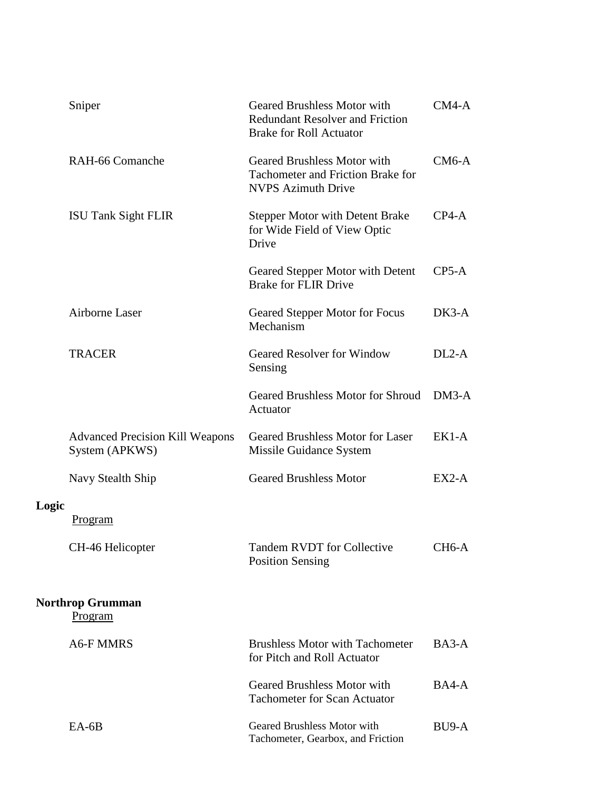|       | Sniper                                                   | <b>Geared Brushless Motor with</b><br><b>Redundant Resolver and Friction</b><br><b>Brake for Roll Actuator</b> | $CM4-A$            |
|-------|----------------------------------------------------------|----------------------------------------------------------------------------------------------------------------|--------------------|
|       | RAH-66 Comanche                                          | <b>Geared Brushless Motor with</b><br>Tachometer and Friction Brake for<br><b>NVPS Azimuth Drive</b>           | $CM6-A$            |
|       | <b>ISU Tank Sight FLIR</b>                               | <b>Stepper Motor with Detent Brake</b><br>for Wide Field of View Optic<br>Drive                                | $CP4-A$            |
|       |                                                          | Geared Stepper Motor with Detent<br><b>Brake for FLIR Drive</b>                                                | $CP5-A$            |
|       | Airborne Laser                                           | Geared Stepper Motor for Focus<br>Mechanism                                                                    | $DK3-A$            |
|       | <b>TRACER</b>                                            | <b>Geared Resolver for Window</b><br>Sensing                                                                   | $DL2-A$            |
|       |                                                          | <b>Geared Brushless Motor for Shroud</b><br>Actuator                                                           | $DM3-A$            |
|       | <b>Advanced Precision Kill Weapons</b><br>System (APKWS) | <b>Geared Brushless Motor for Laser</b><br>Missile Guidance System                                             | $EK1-A$            |
|       | Navy Stealth Ship                                        | <b>Geared Brushless Motor</b>                                                                                  | $EX2-A$            |
| Logic | Program                                                  |                                                                                                                |                    |
|       | CH-46 Helicopter                                         | <b>Tandem RVDT for Collective</b><br><b>Position Sensing</b>                                                   | CH <sub>6</sub> -A |
|       | <b>Northrop Grumman</b><br>Program                       |                                                                                                                |                    |
|       | <b>A6-F MMRS</b>                                         | <b>Brushless Motor with Tachometer</b><br>for Pitch and Roll Actuator                                          | $BA3-A$            |
|       |                                                          | <b>Geared Brushless Motor with</b><br><b>Tachometer for Scan Actuator</b>                                      | BA4-A              |
|       | $EA-6B$                                                  | <b>Geared Brushless Motor with</b><br>Tachometer, Gearbox, and Friction                                        | BU <sub>9</sub> -A |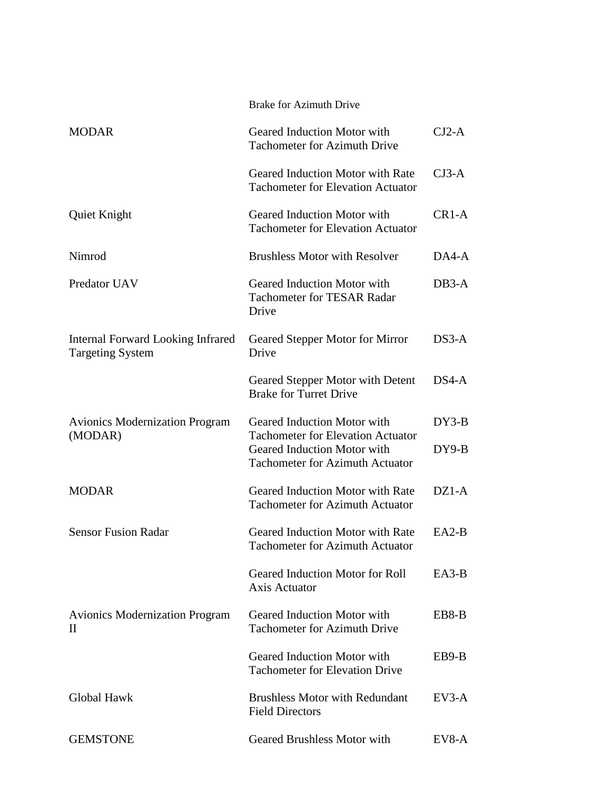|                                                              | <b>Brake for Azimuth Drive</b>                                                                                    |         |
|--------------------------------------------------------------|-------------------------------------------------------------------------------------------------------------------|---------|
| <b>MODAR</b>                                                 | Geared Induction Motor with<br><b>Tachometer for Azimuth Drive</b>                                                | $CJ2-A$ |
|                                                              | Geared Induction Motor with Rate<br><b>Tachometer for Elevation Actuator</b>                                      | $CJ3-A$ |
| Quiet Knight                                                 | Geared Induction Motor with<br><b>Tachometer for Elevation Actuator</b>                                           | $CR1-A$ |
| Nimrod                                                       | <b>Brushless Motor with Resolver</b>                                                                              | DA4-A   |
| Predator UAV                                                 | Geared Induction Motor with<br><b>Tachometer for TESAR Radar</b><br>Drive                                         | $DB3-A$ |
| Internal Forward Looking Infrared<br><b>Targeting System</b> | Geared Stepper Motor for Mirror<br>Drive                                                                          | $DS3-A$ |
|                                                              | Geared Stepper Motor with Detent<br><b>Brake for Turret Drive</b>                                                 | DS4-A   |
| <b>Avionics Modernization Program</b>                        | Geared Induction Motor with                                                                                       | DY3-B   |
| (MODAR)                                                      | <b>Tachometer for Elevation Actuator</b><br>Geared Induction Motor with<br><b>Tachometer for Azimuth Actuator</b> | DY9-B   |
| <b>MODAR</b>                                                 | Geared Induction Motor with Rate<br><b>Tachometer for Azimuth Actuator</b>                                        | $DZ1-A$ |
| <b>Sensor Fusion Radar</b>                                   | Geared Induction Motor with Rate<br><b>Tachometer for Azimuth Actuator</b>                                        | $EA2-B$ |
|                                                              | <b>Geared Induction Motor for Roll</b><br><b>Axis Actuator</b>                                                    | $EA3-B$ |
| <b>Avionics Modernization Program</b><br>$\rm II$            | Geared Induction Motor with<br><b>Tachometer for Azimuth Drive</b>                                                | EB8-B   |
|                                                              | Geared Induction Motor with<br><b>Tachometer for Elevation Drive</b>                                              | EB9-B   |
| <b>Global Hawk</b>                                           | <b>Brushless Motor with Redundant</b><br><b>Field Directors</b>                                                   | $EV3-A$ |
| <b>GEMSTONE</b>                                              | <b>Geared Brushless Motor with</b>                                                                                | $EV8-A$ |
|                                                              |                                                                                                                   |         |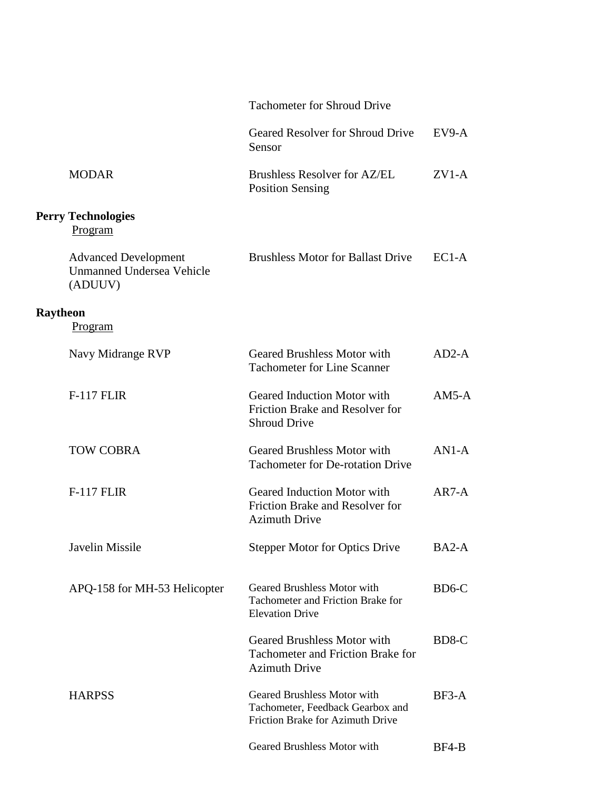|          |                                                                            | <b>Tachometer for Shroud Drive</b>                                                                     |         |
|----------|----------------------------------------------------------------------------|--------------------------------------------------------------------------------------------------------|---------|
|          |                                                                            | Geared Resolver for Shroud Drive<br>Sensor                                                             | $EV9-A$ |
|          | <b>MODAR</b>                                                               | <b>Brushless Resolver for AZ/EL</b><br><b>Position Sensing</b>                                         | $ZVI-A$ |
|          | <b>Perry Technologies</b><br>Program                                       |                                                                                                        |         |
|          | <b>Advanced Development</b><br><b>Unmanned Undersea Vehicle</b><br>(ADUUV) | <b>Brushless Motor for Ballast Drive</b>                                                               | $EC1-A$ |
| Raytheon | Program                                                                    |                                                                                                        |         |
|          | Navy Midrange RVP                                                          | <b>Geared Brushless Motor with</b><br><b>Tachometer for Line Scanner</b>                               | $AD2-A$ |
|          | <b>F-117 FLIR</b>                                                          | Geared Induction Motor with<br>Friction Brake and Resolver for<br><b>Shroud Drive</b>                  | $AM5-A$ |
|          | <b>TOW COBRA</b>                                                           | <b>Geared Brushless Motor with</b><br><b>Tachometer for De-rotation Drive</b>                          | $AN1-A$ |
|          | <b>F-117 FLIR</b>                                                          | Geared Induction Motor with<br>Friction Brake and Resolver for<br><b>Azimuth Drive</b>                 | $AR7-A$ |
|          | <b>Javelin Missile</b>                                                     | <b>Stepper Motor for Optics Drive</b>                                                                  | BA2-A   |
|          | APQ-158 for MH-53 Helicopter                                               | Geared Brushless Motor with<br>Tachometer and Friction Brake for<br><b>Elevation Drive</b>             | BD6-C   |
|          |                                                                            | <b>Geared Brushless Motor with</b><br><b>Tachometer and Friction Brake for</b><br><b>Azimuth Drive</b> | BD8-C   |
|          | <b>HARPSS</b>                                                              | Geared Brushless Motor with<br>Tachometer, Feedback Gearbox and<br>Friction Brake for Azimuth Drive    | $BF3-A$ |
|          |                                                                            | Geared Brushless Motor with                                                                            | BF4-B   |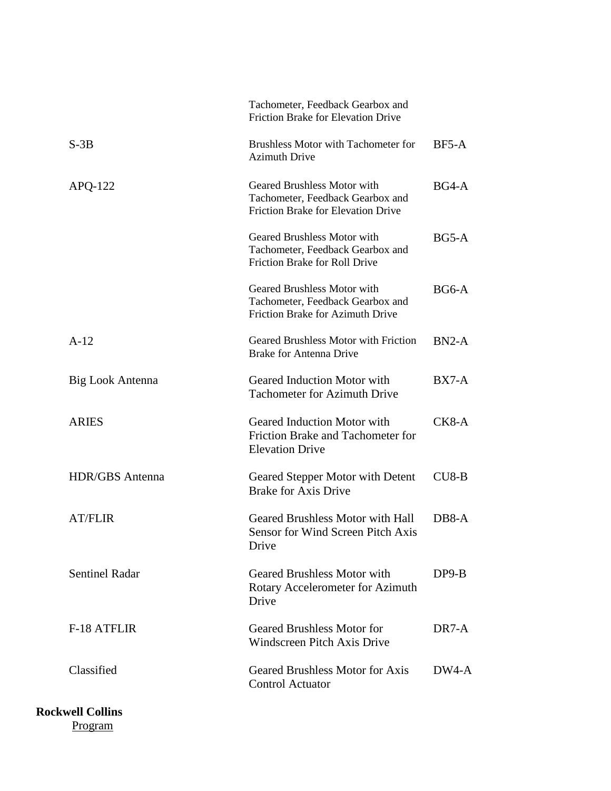|                        | Tachometer, Feedback Gearbox and<br>Friction Brake for Elevation Drive                                         |                    |
|------------------------|----------------------------------------------------------------------------------------------------------------|--------------------|
| $S-3B$                 | Brushless Motor with Tachometer for<br><b>Azimuth Drive</b>                                                    | $BF5-A$            |
| $APQ-122$              | Geared Brushless Motor with<br>Tachometer, Feedback Gearbox and<br><b>Friction Brake for Elevation Drive</b>   | BG4-A              |
|                        | <b>Geared Brushless Motor with</b><br>Tachometer, Feedback Gearbox and<br><b>Friction Brake for Roll Drive</b> | $BG5-A$            |
|                        | Geared Brushless Motor with<br>Tachometer, Feedback Gearbox and<br>Friction Brake for Azimuth Drive            | $BG6-A$            |
| $A-12$                 | <b>Geared Brushless Motor with Friction</b><br><b>Brake for Antenna Drive</b>                                  | $BN2-A$            |
| Big Look Antenna       | Geared Induction Motor with<br><b>Tachometer for Azimuth Drive</b>                                             | $BX7-A$            |
| <b>ARIES</b>           | Geared Induction Motor with<br>Friction Brake and Tachometer for<br><b>Elevation Drive</b>                     | $CK8-A$            |
| <b>HDR/GBS</b> Antenna | Geared Stepper Motor with Detent<br><b>Brake for Axis Drive</b>                                                | $CU8-B$            |
| <b>AT/FLIR</b>         | <b>Geared Brushless Motor with Hall</b><br>Sensor for Wind Screen Pitch Axis<br>Drive                          | DB8-A              |
| <b>Sentinel Radar</b>  | <b>Geared Brushless Motor with</b><br>Rotary Accelerometer for Azimuth<br>Drive                                | $DP9-B$            |
| <b>F-18 ATFLIR</b>     | <b>Geared Brushless Motor for</b><br><b>Windscreen Pitch Axis Drive</b>                                        | DR <sub>7</sub> -A |
| Classified             | <b>Geared Brushless Motor for Axis</b><br><b>Control Actuator</b>                                              | DW4-A              |
|                        |                                                                                                                |                    |

**Rockwell Collins** Program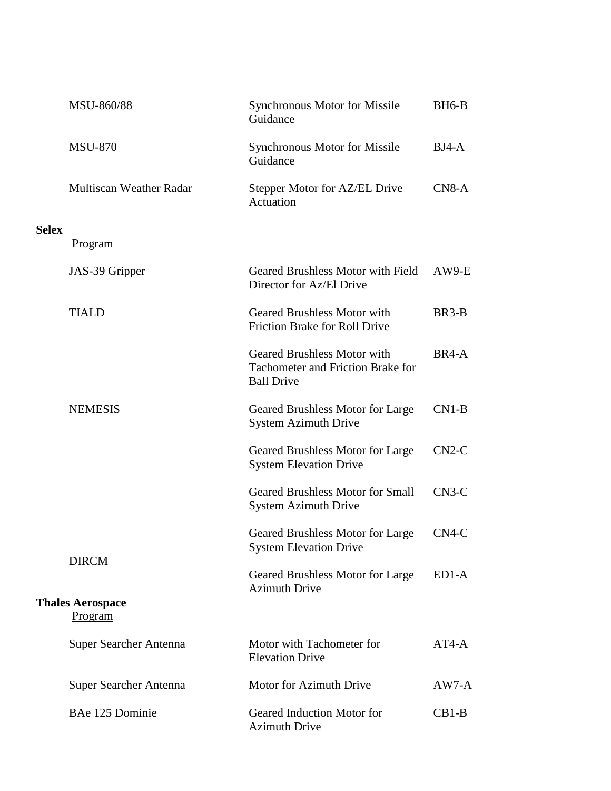|              | MSU-860/88                         | <b>Synchronous Motor for Missile</b><br>Guidance                                             | BH <sub>6</sub> -B |
|--------------|------------------------------------|----------------------------------------------------------------------------------------------|--------------------|
|              | <b>MSU-870</b>                     | <b>Synchronous Motor for Missile</b><br>Guidance                                             | $BJ4-A$            |
|              | <b>Multiscan Weather Radar</b>     | Stepper Motor for AZ/EL Drive<br>Actuation                                                   | $CN8-A$            |
| <b>Selex</b> |                                    |                                                                                              |                    |
|              | <u>Program</u>                     |                                                                                              |                    |
|              | JAS-39 Gripper                     | Geared Brushless Motor with Field<br>Director for Az/El Drive                                | $AW9-E$            |
|              | <b>TIALD</b>                       | <b>Geared Brushless Motor with</b><br><b>Friction Brake for Roll Drive</b>                   | BR3-B              |
|              |                                    | <b>Geared Brushless Motor with</b><br>Tachometer and Friction Brake for<br><b>Ball Drive</b> | BR4-A              |
|              | <b>NEMESIS</b>                     | Geared Brushless Motor for Large<br><b>System Azimuth Drive</b>                              | $CN1-B$            |
|              |                                    | Geared Brushless Motor for Large<br><b>System Elevation Drive</b>                            | $CN2-C$            |
|              |                                    | <b>Geared Brushless Motor for Small</b><br><b>System Azimuth Drive</b>                       | $CN3-C$            |
|              |                                    | Geared Brushless Motor for Large<br><b>System Elevation Drive</b>                            | $CN4-C$            |
|              | <b>DIRCM</b>                       | Geared Brushless Motor for Large<br><b>Azimuth Drive</b>                                     | ED1-A              |
|              | <b>Thales Aerospace</b><br>Program |                                                                                              |                    |
|              | Super Searcher Antenna             | Motor with Tachometer for<br><b>Elevation Drive</b>                                          | $AT4-A$            |
|              | Super Searcher Antenna             | Motor for Azimuth Drive                                                                      | $AW7-A$            |
|              | BAe 125 Dominie                    | Geared Induction Motor for<br><b>Azimuth Drive</b>                                           | $CB1-B$            |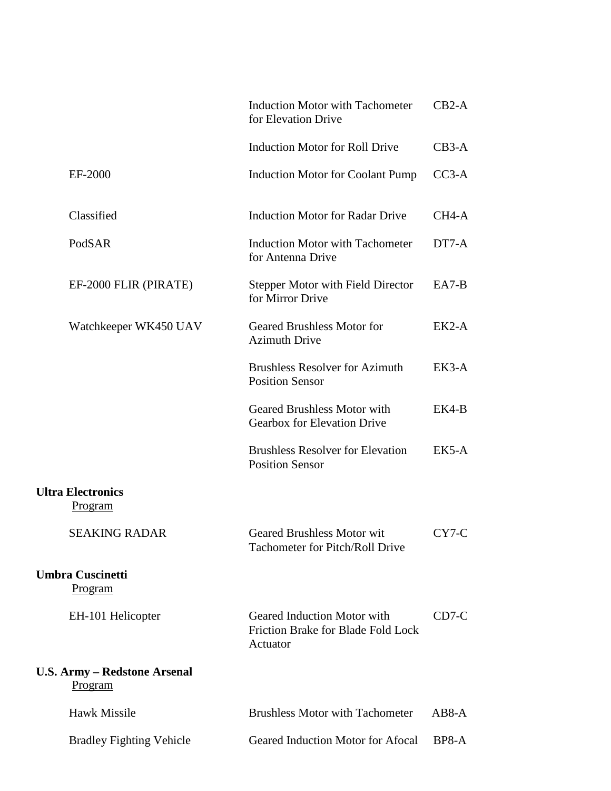|                                                       | <b>Induction Motor with Tachometer</b><br>for Elevation Drive                 | $CB2-A$ |
|-------------------------------------------------------|-------------------------------------------------------------------------------|---------|
|                                                       | Induction Motor for Roll Drive                                                | $CB3-A$ |
| EF-2000                                               | Induction Motor for Coolant Pump CC3-A                                        |         |
| Classified                                            | <b>Induction Motor for Radar Drive</b>                                        | CH4-A   |
| PodSAR                                                | <b>Induction Motor with Tachometer</b><br>for Antenna Drive                   | DT7-A   |
| EF-2000 FLIR (PIRATE)                                 | <b>Stepper Motor with Field Director</b><br>for Mirror Drive                  | $EA7-B$ |
| Watchkeeper WK450 UAV                                 | <b>Geared Brushless Motor for</b><br><b>Azimuth Drive</b>                     | EK2-A   |
|                                                       | <b>Brushless Resolver for Azimuth</b><br><b>Position Sensor</b>               | EK3-A   |
|                                                       | Geared Brushless Motor with<br>Gearbox for Elevation Drive                    | EK4-B   |
|                                                       | <b>Brushless Resolver for Elevation</b><br><b>Position Sensor</b>             | EK5-A   |
| <b>Ultra Electronics</b><br>Program                   |                                                                               |         |
| <b>SEAKING RADAR</b>                                  | Geared Brushless Motor wit<br>Tachometer for Pitch/Roll Drive                 | CY7-C   |
| <b>Umbra Cuscinetti</b><br>Program                    |                                                                               |         |
| EH-101 Helicopter                                     | Geared Induction Motor with<br>Friction Brake for Blade Fold Lock<br>Actuator | $CD7-C$ |
| <b>U.S. Army - Redstone Arsenal</b><br><b>Program</b> |                                                                               |         |
| Hawk Missile                                          | <b>Brushless Motor with Tachometer</b>                                        | $AB8-A$ |
| <b>Bradley Fighting Vehicle</b>                       | Geared Induction Motor for Afocal                                             | BP8-A   |